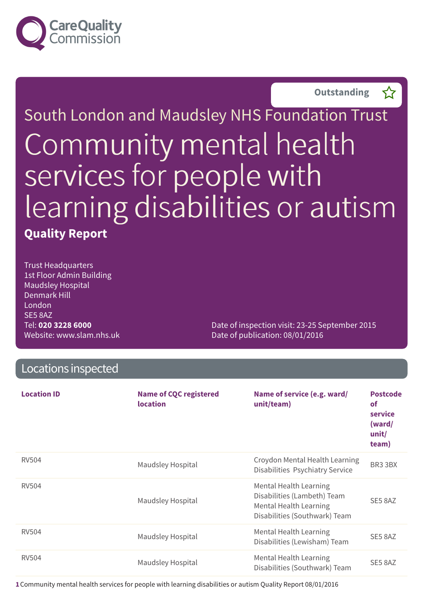

**Outstanding –**



Trust Headquarters 1st Floor Admin Building Maudsley Hospital Denmark Hill London SE5 8AZ Tel: **020 3228 6000** Website: www.slam.nhs.uk

Date of inspection visit: 23-25 September 2015 Date of publication: 08/01/2016

| Locations inspected |                                                  |                                                                                                                                |                                                                     |  |
|---------------------|--------------------------------------------------|--------------------------------------------------------------------------------------------------------------------------------|---------------------------------------------------------------------|--|
| <b>Location ID</b>  | <b>Name of CQC registered</b><br><b>location</b> | Name of service (e.g. ward/<br>unit/team)                                                                                      | <b>Postcode</b><br><b>of</b><br>service<br>(ward/<br>unit/<br>team) |  |
| <b>RV504</b>        | Maudsley Hospital                                | Croydon Mental Health Learning<br>Disabilities Psychiatry Service                                                              | BR3 3BX                                                             |  |
| RV504               | Maudsley Hospital                                | <b>Mental Health Learning</b><br>Disabilities (Lambeth) Team<br><b>Mental Health Learning</b><br>Disabilities (Southwark) Team | SE5 8AZ                                                             |  |
| <b>RV504</b>        | Maudsley Hospital                                | <b>Mental Health Learning</b><br>Disabilities (Lewisham) Team                                                                  | SE5 8AZ                                                             |  |
| <b>RV504</b>        | Maudsley Hospital                                | <b>Mental Health Learning</b><br>Disabilities (Southwark) Team                                                                 | SE5 8AZ                                                             |  |

**1**Community mental health services for people with learning disabilities or autism Quality Report 08/01/2016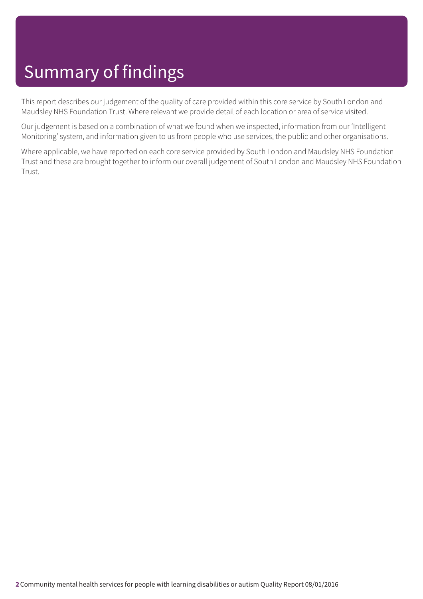This report describes our judgement of the quality of care provided within this core service by South London and Maudsley NHS Foundation Trust. Where relevant we provide detail of each location or area of service visited.

Our judgement is based on a combination of what we found when we inspected, information from our 'Intelligent Monitoring' system, and information given to us from people who use services, the public and other organisations.

Where applicable, we have reported on each core service provided by South London and Maudsley NHS Foundation Trust and these are brought together to inform our overall judgement of South London and Maudsley NHS Foundation Trust.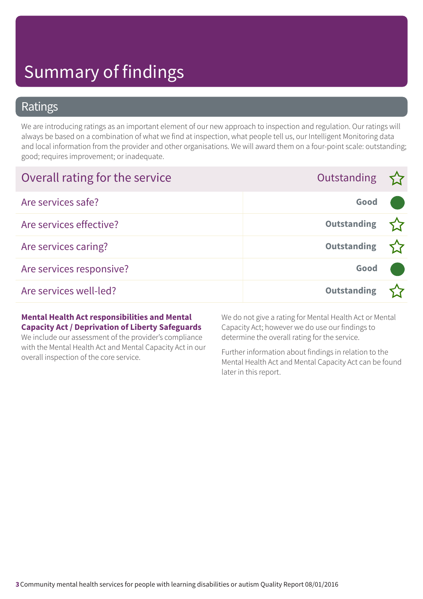### Ratings

We are introducing ratings as an important element of our new approach to inspection and regulation. Our ratings will always be based on a combination of what we find at inspection, what people tell us, our Intelligent Monitoring data and local information from the provider and other organisations. We will award them on a four-point scale: outstanding; good; requires improvement; or inadequate.

| Overall rating for the service | Outstanding $\sum$ |  |
|--------------------------------|--------------------|--|
| Are services safe?             | Good               |  |
| Are services effective?        | <b>Outstanding</b> |  |
| Are services caring?           | <b>Outstanding</b> |  |
| Are services responsive?       | Good               |  |
| Are services well-led?         | <b>Outstanding</b> |  |

#### **Mental Health Act responsibilities and Mental Capacity Act / Deprivation of Liberty Safeguards**

We include our assessment of the provider's compliance with the Mental Health Act and Mental Capacity Act in our overall inspection of the core service.

We do not give a rating for Mental Health Act or Mental Capacity Act; however we do use our findings to determine the overall rating for the service.

Further information about findings in relation to the Mental Health Act and Mental Capacity Act can be found later in this report.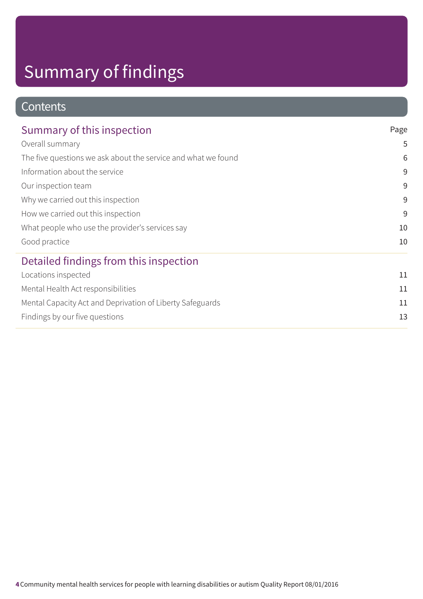### **Contents**

| Summary of this inspection                                    | Page         |
|---------------------------------------------------------------|--------------|
| Overall summary                                               | 5            |
| The five questions we ask about the service and what we found | 6            |
| Information about the service                                 | 9            |
| Our inspection team                                           | 9            |
| Why we carried out this inspection                            | 9<br>9<br>10 |
| How we carried out this inspection                            |              |
| What people who use the provider's services say               |              |
| Good practice                                                 | 10           |
| Detailed findings from this inspection                        |              |
| Locations inspected                                           | 11           |
| Mental Health Act responsibilities                            | 11           |
| Mental Capacity Act and Deprivation of Liberty Safeguards     | 11           |
| Findings by our five questions                                | 13           |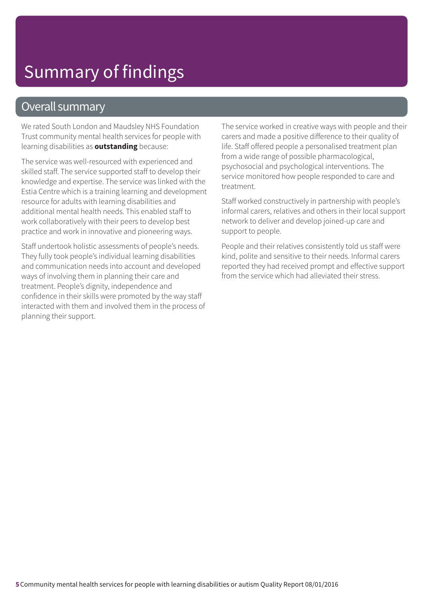### Overall summary

We rated South London and Maudsley NHS Foundation Trust community mental health services for people with learning disabilities as **outstanding** because:

The service was well-resourced with experienced and skilled staff. The service supported staff to develop their knowledge and expertise. The service was linked with the Estia Centre which is a training learning and development resource for adults with learning disabilities and additional mental health needs. This enabled staff to work collaboratively with their peers to develop best practice and work in innovative and pioneering ways.

Staff undertook holistic assessments of people's needs. They fully took people's individual learning disabilities and communication needs into account and developed ways of involving them in planning their care and treatment. People's dignity, independence and confidence in their skills were promoted by the way staff interacted with them and involved them in the process of planning their support.

The service worked in creative ways with people and their carers and made a positive difference to their quality of life. Staff offered people a personalised treatment plan from a wide range of possible pharmacological, psychosocial and psychological interventions. The service monitored how people responded to care and treatment.

Staff worked constructively in partnership with people's informal carers, relatives and others in their local support network to deliver and develop joined-up care and support to people.

People and their relatives consistently told us staff were kind, polite and sensitive to their needs. Informal carers reported they had received prompt and effective support from the service which had alleviated their stress.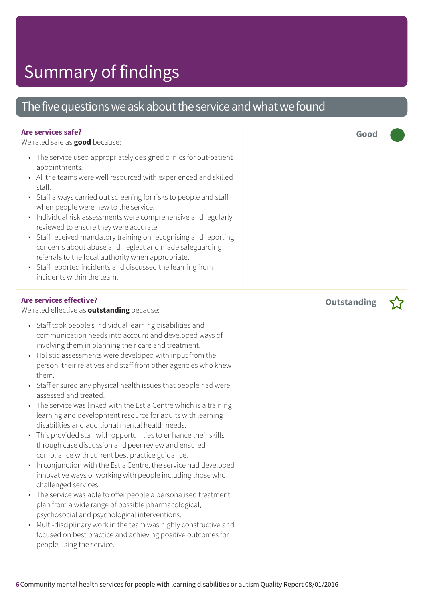### The five questions we ask about the service and what we found

### **Are services safe?**

We rated safe as **good** because:

- The service used appropriately designed clinics for out-patient appointments.
- All the teams were well resourced with experienced and skilled staff.
- Staff always carried out screening for risks to people and staff when people were new to the service.
- Individual risk assessments were comprehensive and regularly reviewed to ensure they were accurate.
- Staff received mandatory training on recognising and reporting concerns about abuse and neglect and made safeguarding referrals to the local authority when appropriate.
- Staff reported incidents and discussed the learning from incidents within the team.

#### **Are services effective?**

We rated effective as **outstanding** because:

- Staff took people's individual learning disabilities and communication needs into account and developed ways of involving them in planning their care and treatment.
- Holistic assessments were developed with input from the person, their relatives and staff from other agencies who knew them.
- Staff ensured any physical health issues that people had were assessed and treated.
- The service was linked with the Estia Centre which is a training learning and development resource for adults with learning disabilities and additional mental health needs.
- This provided staff with opportunities to enhance their skills through case discussion and peer review and ensured compliance with current best practice guidance.
- In conjunction with the Estia Centre, the service had developed innovative ways of working with people including those who challenged services.
- The service was able to offer people a personalised treatment plan from a wide range of possible pharmacological, psychosocial and psychological interventions.
- Multi-disciplinary work in the team was highly constructive and focused on best practice and achieving positive outcomes for people using the service.

**Good –––**

**Outstanding –**

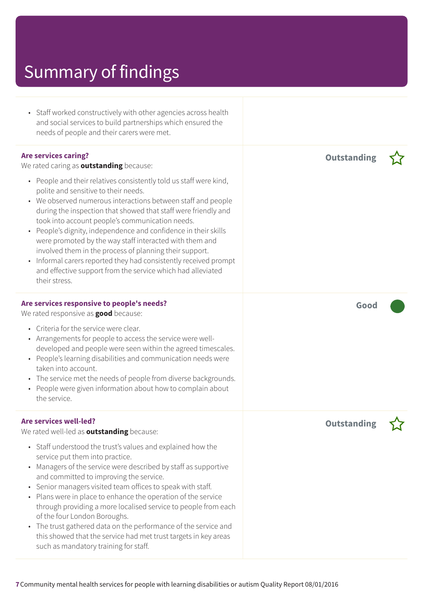| • Staff worked constructively with other agencies across health<br>and social services to build partnerships which ensured the<br>needs of people and their carers were met.                                                                                                                                                                                                                                                                                                                                                                                                                                                                                   |                    |  |
|----------------------------------------------------------------------------------------------------------------------------------------------------------------------------------------------------------------------------------------------------------------------------------------------------------------------------------------------------------------------------------------------------------------------------------------------------------------------------------------------------------------------------------------------------------------------------------------------------------------------------------------------------------------|--------------------|--|
| <b>Are services caring?</b><br>We rated caring as <b>outstanding</b> because:                                                                                                                                                                                                                                                                                                                                                                                                                                                                                                                                                                                  | <b>Outstanding</b> |  |
| • People and their relatives consistently told us staff were kind,<br>polite and sensitive to their needs.<br>• We observed numerous interactions between staff and people<br>during the inspection that showed that staff were friendly and<br>took into account people's communication needs.<br>• People's dignity, independence and confidence in their skills<br>were promoted by the way staff interacted with them and<br>involved them in the process of planning their support.<br>Informal carers reported they had consistently received prompt<br>$\bullet$<br>and effective support from the service which had alleviated<br>their stress.        |                    |  |
| Are services responsive to people's needs?<br>We rated responsive as <b>good</b> because:                                                                                                                                                                                                                                                                                                                                                                                                                                                                                                                                                                      | Good               |  |
| • Criteria for the service were clear.<br>• Arrangements for people to access the service were well-<br>developed and people were seen within the agreed timescales.<br>• People's learning disabilities and communication needs were<br>taken into account.<br>The service met the needs of people from diverse backgrounds.<br>$\bullet$<br>• People were given information about how to complain about<br>the service.                                                                                                                                                                                                                                      |                    |  |
| <b>Are services well-led?</b><br>We rated well-led as <b>outstanding</b> because:                                                                                                                                                                                                                                                                                                                                                                                                                                                                                                                                                                              | <b>Outstanding</b> |  |
| • Staff understood the trust's values and explained how the<br>service put them into practice.<br>Managers of the service were described by staff as supportive<br>$\bullet$<br>and committed to improving the service.<br>• Senior managers visited team offices to speak with staff.<br>Plans were in place to enhance the operation of the service<br>$\bullet$<br>through providing a more localised service to people from each<br>of the four London Boroughs.<br>The trust gathered data on the performance of the service and<br>$\bullet$<br>this showed that the service had met trust targets in key areas<br>such as mandatory training for staff. |                    |  |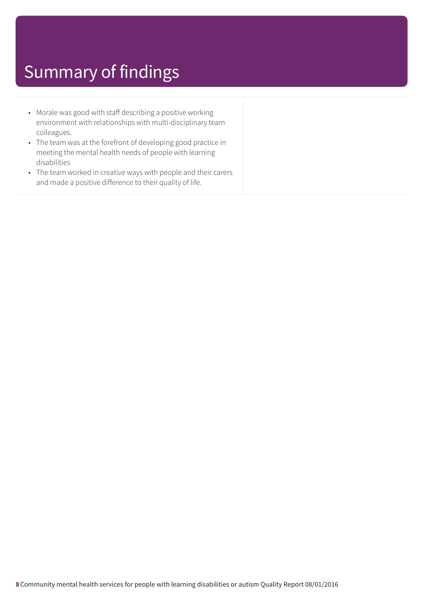- Morale was good with staff describing a positive working environment with relationships with multi-disciplinary team colleagues.
- The team was at the forefront of developing good practice in meeting the mental health needs of people with learning disabilities
- The team worked in creative ways with people and their carers and made a positive difference to their quality of life.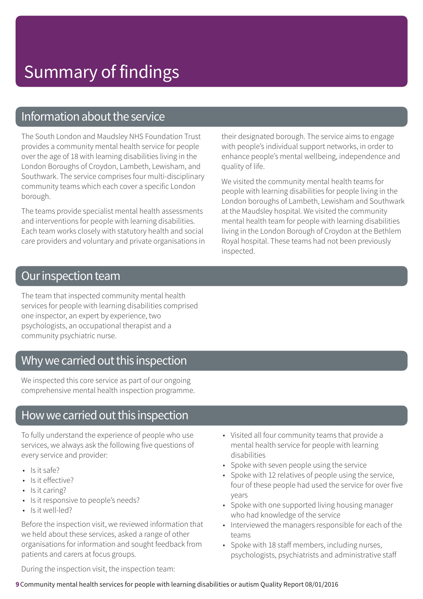### Information about the service

The South London and Maudsley NHS Foundation Trust provides a community mental health service for people over the age of 18 with learning disabilities living in the London Boroughs of Croydon, Lambeth, Lewisham, and Southwark. The service comprises four multi-disciplinary community teams which each cover a specific London borough.

The teams provide specialist mental health assessments and interventions for people with learning disabilities. Each team works closely with statutory health and social care providers and voluntary and private organisations in their designated borough. The service aims to engage with people's individual support networks, in order to enhance people's mental wellbeing, independence and quality of life.

We visited the community mental health teams for people with learning disabilities for people living in the London boroughs of Lambeth, Lewisham and Southwark at the Maudsley hospital. We visited the community mental health team for people with learning disabilities living in the London Borough of Croydon at the Bethlem Royal hospital. These teams had not been previously inspected.

### Our inspection team

The team that inspected community mental health services for people with learning disabilities comprised one inspector, an expert by experience, two psychologists, an occupational therapist and a community psychiatric nurse.

### Why we carried out this inspection

We inspected this core service as part of our ongoing comprehensive mental health inspection programme.

### How we carried out this inspection

To fully understand the experience of people who use services, we always ask the following five questions of every service and provider:

- Is it safe?
- Is it effective?
- Is it caring?
- Is it responsive to people's needs?
- Is it well-led?

Before the inspection visit, we reviewed information that we held about these services, asked a range of other organisations for information and sought feedback from patients and carers at focus groups.

- Visited all four community teams that provide a mental health service for people with learning disabilities
- Spoke with seven people using the service
- Spoke with 12 relatives of people using the service, four of these people had used the service for over five years
- Spoke with one supported living housing manager who had knowledge of the service
- Interviewed the managers responsible for each of the teams
- Spoke with 18 staff members, including nurses, psychologists, psychiatrists and administrative staff

During the inspection visit, the inspection team:

**9**Community mental health services for people with learning disabilities or autism Quality Report 08/01/2016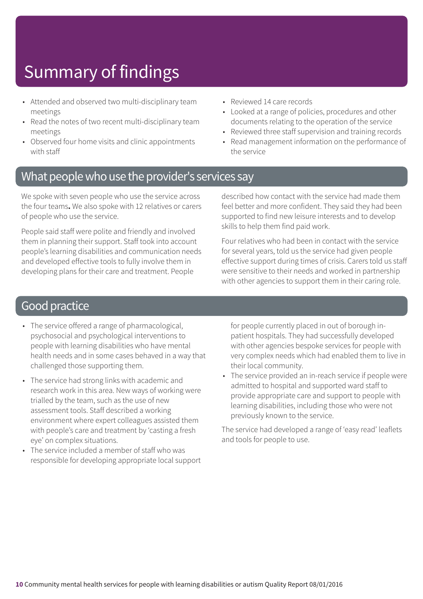- Attended and observed two multi-disciplinary team meetings
- Read the notes of two recent multi-disciplinary team meetings
- Observed four home visits and clinic appointments with staff
- Reviewed 14 care records
- Looked at a range of policies, procedures and other documents relating to the operation of the service
- Reviewed three staff supervision and training records
- Read management information on the performance of the service

### What people who use the provider's services say

We spoke with seven people who use the service across the four teams**.** We also spoke with 12 relatives or carers of people who use the service.

People said staff were polite and friendly and involved them in planning their support. Staff took into account people's learning disabilities and communication needs and developed effective tools to fully involve them in developing plans for their care and treatment. People

described how contact with the service had made them feel better and more confident. They said they had been supported to find new leisure interests and to develop skills to help them find paid work.

Four relatives who had been in contact with the service for several years, told us the service had given people effective support during times of crisis. Carers told us staff were sensitive to their needs and worked in partnership with other agencies to support them in their caring role.

### Good practice

- The service offered a range of pharmacological, psychosocial and psychological interventions to people with learning disabilities who have mental health needs and in some cases behaved in a way that challenged those supporting them.
- The service had strong links with academic and research work in this area. New ways of working were trialled by the team, such as the use of new assessment tools. Staff described a working environment where expert colleagues assisted them with people's care and treatment by 'casting a fresh eye' on complex situations.
- The service included a member of staff who was responsible for developing appropriate local support

for people currently placed in out of borough inpatient hospitals. They had successfully developed with other agencies bespoke services for people with very complex needs which had enabled them to live in their local community.

• The service provided an in-reach service if people were admitted to hospital and supported ward staff to provide appropriate care and support to people with learning disabilities, including those who were not previously known to the service.

The service had developed a range of 'easy read' leaflets and tools for people to use.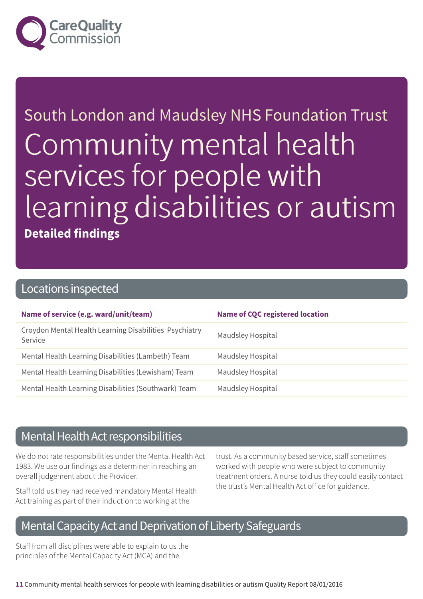

South London and Maudsley NHS Foundation Trust Community mental health services for people with learning disabilities or autism **Detailed findings**

### Locations inspected

| Name of service (e.g. ward/unit/team)                             | <b>Name of CQC registered location</b> |
|-------------------------------------------------------------------|----------------------------------------|
| Croydon Mental Health Learning Disabilities Psychiatry<br>Service | <b>Maudsley Hospital</b>               |
| Mental Health Learning Disabilities (Lambeth) Team                | <b>Maudsley Hospital</b>               |
| Mental Health Learning Disabilities (Lewisham) Team               | <b>Maudsley Hospital</b>               |
| Mental Health Learning Disabilities (Southwark) Team              | <b>Maudsley Hospital</b>               |

### Mental Health Act responsibilities

We do not rate responsibilities under the Mental Health Act 1983. We use our findings as a determiner in reaching an overall judgement about the Provider.

Staff told us they had received mandatory Mental Health Act training as part of their induction to working at the

trust. As a community based service, staff sometimes worked with people who were subject to community treatment orders. A nurse told us they could easily contact the trust's Mental Health Act office for guidance.

### Mental Capacity Act and Deprivation of Liberty Safeguards

Staff from all disciplines were able to explain to us the principles of the Mental Capacity Act (MCA) and the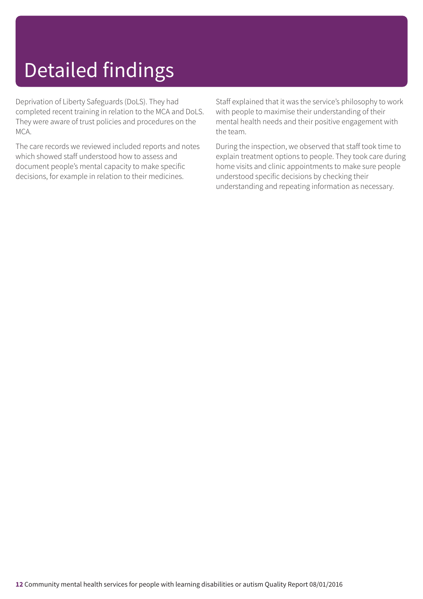# Detailed findings

Deprivation of Liberty Safeguards (DoLS). They had completed recent training in relation to the MCA and DoLS. They were aware of trust policies and procedures on the MCA.

The care records we reviewed included reports and notes which showed staff understood how to assess and document people's mental capacity to make specific decisions, for example in relation to their medicines.

Staff explained that it was the service's philosophy to work with people to maximise their understanding of their mental health needs and their positive engagement with the team.

During the inspection, we observed that staff took time to explain treatment options to people. They took care during home visits and clinic appointments to make sure people understood specific decisions by checking their understanding and repeating information as necessary.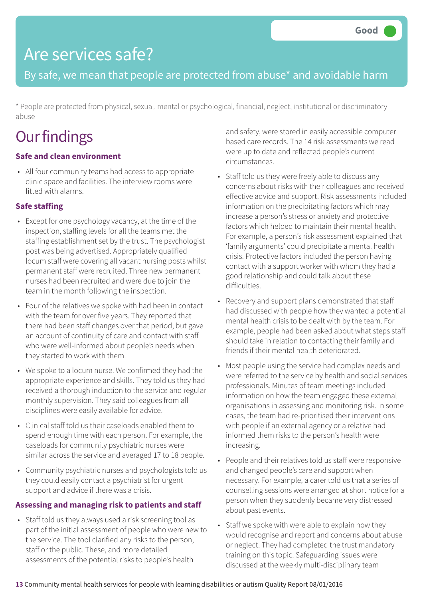## Are services safe?

By safe, we mean that people are protected from abuse\* and avoidable harm

\* People are protected from physical, sexual, mental or psychological, financial, neglect, institutional or discriminatory abuse

## **Our findings**

### **Safe and clean environment**

• All four community teams had access to appropriate clinic space and facilities. The interview rooms were fitted with alarms.

### **Safe staffing**

- Except for one psychology vacancy, at the time of the inspection, staffing levels for all the teams met the staffing establishment set by the trust. The psychologist post was being advertised. Appropriately qualified locum staff were covering all vacant nursing posts whilst permanent staff were recruited. Three new permanent nurses had been recruited and were due to join the team in the month following the inspection.
- Four of the relatives we spoke with had been in contact with the team for over five years. They reported that there had been staff changes over that period, but gave an account of continuity of care and contact with staff who were well-informed about people's needs when they started to work with them.
- We spoke to a locum nurse. We confirmed they had the appropriate experience and skills. They told us they had received a thorough induction to the service and regular monthly supervision. They said colleagues from all disciplines were easily available for advice.
- Clinical staff told us their caseloads enabled them to spend enough time with each person. For example, the caseloads for community psychiatric nurses were similar across the service and averaged 17 to 18 people.
- Community psychiatric nurses and psychologists told us they could easily contact a psychiatrist for urgent support and advice if there was a crisis.

### **Assessing and managing risk to patients and staff**

• Staff told us they always used a risk screening tool as part of the initial assessment of people who were new to the service. The tool clarified any risks to the person, staff or the public. These, and more detailed assessments of the potential risks to people's health

and safety, were stored in easily accessible computer based care records. The 14 risk assessments we read were up to date and reflected people's current circumstances.

- Staff told us they were freely able to discuss any concerns about risks with their colleagues and received effective advice and support. Risk assessments included information on the precipitating factors which may increase a person's stress or anxiety and protective factors which helped to maintain their mental health. For example, a person's risk assessment explained that 'family arguments' could precipitate a mental health crisis. Protective factors included the person having contact with a support worker with whom they had a good relationship and could talk about these difficulties.
- Recovery and support plans demonstrated that staff had discussed with people how they wanted a potential mental health crisis to be dealt with by the team. For example, people had been asked about what steps staff should take in relation to contacting their family and friends if their mental health deteriorated.
- Most people using the service had complex needs and were referred to the service by health and social services professionals. Minutes of team meetings included information on how the team engaged these external organisations in assessing and monitoring risk. In some cases, the team had re-prioritised their interventions with people if an external agency or a relative had informed them risks to the person's health were increasing.
- People and their relatives told us staff were responsive and changed people's care and support when necessary. For example, a carer told us that a series of counselling sessions were arranged at short notice for a person when they suddenly became very distressed about past events.
- Staff we spoke with were able to explain how they would recognise and report and concerns about abuse or neglect. They had completed the trust mandatory training on this topic. Safeguarding issues were discussed at the weekly multi-disciplinary team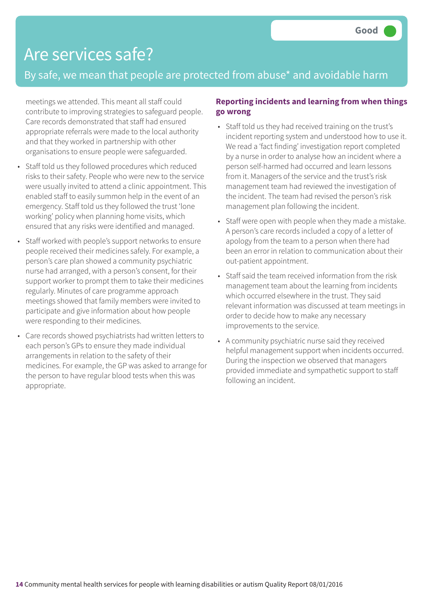## Are services safe?

### By safe, we mean that people are protected from abuse\* and avoidable harm

meetings we attended. This meant all staff could contribute to improving strategies to safeguard people. Care records demonstrated that staff had ensured appropriate referrals were made to the local authority and that they worked in partnership with other organisations to ensure people were safeguarded.

- Staff told us they followed procedures which reduced risks to their safety. People who were new to the service were usually invited to attend a clinic appointment. This enabled staff to easily summon help in the event of an emergency. Staff told us they followed the trust 'lone working' policy when planning home visits, which ensured that any risks were identified and managed.
- Staff worked with people's support networks to ensure people received their medicines safely. For example, a person's care plan showed a community psychiatric nurse had arranged, with a person's consent, for their support worker to prompt them to take their medicines regularly. Minutes of care programme approach meetings showed that family members were invited to participate and give information about how people were responding to their medicines.
- Care records showed psychiatrists had written letters to each person's GPs to ensure they made individual arrangements in relation to the safety of their medicines. For example, the GP was asked to arrange for the person to have regular blood tests when this was appropriate.

#### **Reporting incidents and learning from when things go wrong**

- Staff told us they had received training on the trust's incident reporting system and understood how to use it. We read a 'fact finding' investigation report completed by a nurse in order to analyse how an incident where a person self-harmed had occurred and learn lessons from it. Managers of the service and the trust's risk management team had reviewed the investigation of the incident. The team had revised the person's risk management plan following the incident.
- Staff were open with people when they made a mistake. A person's care records included a copy of a letter of apology from the team to a person when there had been an error in relation to communication about their out-patient appointment.
- Staff said the team received information from the risk management team about the learning from incidents which occurred elsewhere in the trust. They said relevant information was discussed at team meetings in order to decide how to make any necessary improvements to the service.
- A community psychiatric nurse said they received helpful management support when incidents occurred. During the inspection we observed that managers provided immediate and sympathetic support to staff following an incident.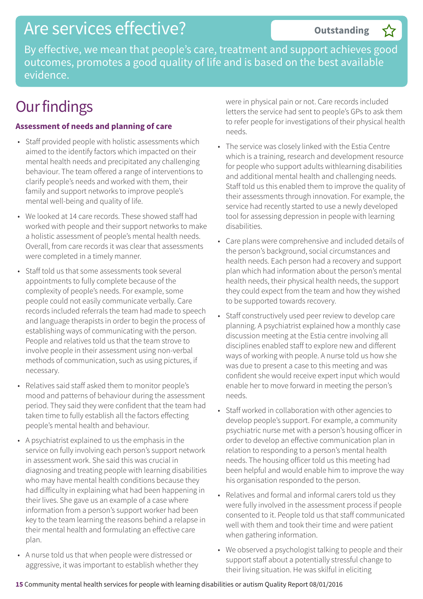By effective, we mean that people's care, treatment and support achieves good outcomes, promotes a good quality of life and is based on the best available evidence.

## **Our findings**

#### **Assessment of needs and planning of care**

- Staff provided people with holistic assessments which aimed to the identify factors which impacted on their mental health needs and precipitated any challenging behaviour. The team offered a range of interventions to clarify people's needs and worked with them, their family and support networks to improve people's mental well-being and quality of life.
- We looked at 14 care records. These showed staff had worked with people and their support networks to make a holistic assessment of people's mental health needs. Overall, from care records it was clear that assessments were completed in a timely manner.
- Staff told us that some assessments took several appointments to fully complete because of the complexity of people's needs. For example, some people could not easily communicate verbally. Care records included referrals the team had made to speech and language therapists in order to begin the process of establishing ways of communicating with the person. People and relatives told us that the team strove to involve people in their assessment using non-verbal methods of communication, such as using pictures, if necessary.
- Relatives said staff asked them to monitor people's mood and patterns of behaviour during the assessment period. They said they were confident that the team had taken time to fully establish all the factors effecting people's mental health and behaviour.
- A psychiatrist explained to us the emphasis in the service on fully involving each person's support network in assessment work. She said this was crucial in diagnosing and treating people with learning disabilities who may have mental health conditions because they had difficulty in explaining what had been happening in their lives. She gave us an example of a case where information from a person's support worker had been key to the team learning the reasons behind a relapse in their mental health and formulating an effective care plan.
- A nurse told us that when people were distressed or aggressive, it was important to establish whether they

were in physical pain or not. Care records included letters the service had sent to people's GPs to ask them to refer people for investigations of their physical health needs.

**Outstanding –**

- The service was closely linked with the Estia Centre which is a training, research and development resource for people who support adults withlearning disabilities and additional mental health and challenging needs. Staff told us this enabled them to improve the quality of their assessments through innovation. For example, the service had recently started to use a newly developed tool for assessing depression in people with learning disabilities.
- Care plans were comprehensive and included details of the person's background, social circumstances and health needs. Each person had a recovery and support plan which had information about the person's mental health needs, their physical health needs, the support they could expect from the team and how they wished to be supported towards recovery.
- Staff constructively used peer review to develop care planning. A psychiatrist explained how a monthly case discussion meeting at the Estia centre involving all disciplines enabled staff to explore new and different ways of working with people. A nurse told us how she was due to present a case to this meeting and was confident she would receive expert input which would enable her to move forward in meeting the person's needs.
- Staff worked in collaboration with other agencies to develop people's support. For example, a community psychiatric nurse met with a person's housing officer in order to develop an effective communication plan in relation to responding to a person's mental health needs. The housing officer told us this meeting had been helpful and would enable him to improve the way his organisation responded to the person.
- Relatives and formal and informal carers told us they were fully involved in the assessment process if people consented to it. People told us that staff communicated well with them and took their time and were patient when gathering information.
- We observed a psychologist talking to people and their support staff about a potentially stressful change to their living situation. He was skilful in eliciting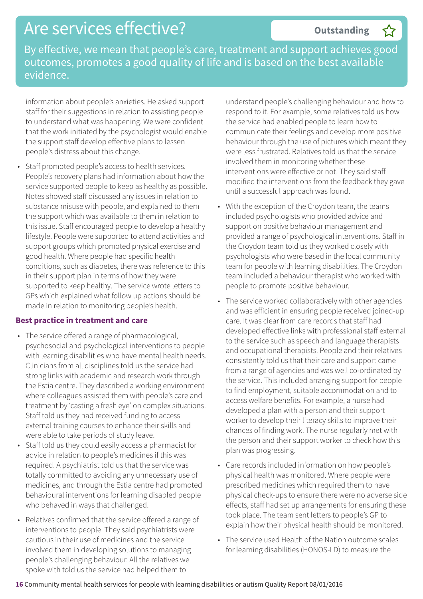By effective, we mean that people's care, treatment and support achieves good outcomes, promotes a good quality of life and is based on the best available evidence.

information about people's anxieties. He asked support staff for their suggestions in relation to assisting people to understand what was happening. We were confident that the work initiated by the psychologist would enable the support staff develop effective plans to lessen people's distress about this change.

• Staff promoted people's access to health services. People's recovery plans had information about how the service supported people to keep as healthy as possible. Notes showed staff discussed any issues in relation to substance misuse with people, and explained to them the support which was available to them in relation to this issue. Staff encouraged people to develop a healthy lifestyle. People were supported to attend activities and support groups which promoted physical exercise and good health. Where people had specific health conditions, such as diabetes, there was reference to this in their support plan in terms of how they were supported to keep healthy. The service wrote letters to GPs which explained what follow up actions should be made in relation to monitoring people's health.

#### **Best practice in treatment and care**

- The service offered a range of pharmacological, psychosocial and psychological interventions to people with learning disabilities who have mental health needs. Clinicians from all disciplines told us the service had strong links with academic and research work through the Estia centre. They described a working environment where colleagues assisted them with people's care and treatment by 'casting a fresh eye' on complex situations. Staff told us they had received funding to access external training courses to enhance their skills and were able to take periods of study leave.
- Staff told us they could easily access a pharmacist for advice in relation to people's medicines if this was required. A psychiatrist told us that the service was totally committed to avoiding any unnecessary use of medicines, and through the Estia centre had promoted behavioural interventions for learning disabled people who behaved in ways that challenged.
- Relatives confirmed that the service offered a range of interventions to people. They said psychiatrists were cautious in their use of medicines and the service involved them in developing solutions to managing people's challenging behaviour. All the relatives we spoke with told us the service had helped them to

understand people's challenging behaviour and how to respond to it. For example, some relatives told us how the service had enabled people to learn how to communicate their feelings and develop more positive behaviour through the use of pictures which meant they were less frustrated. Relatives told us that the service involved them in monitoring whether these interventions were effective or not. They said staff modified the interventions from the feedback they gave until a successful approach was found.

**Outstanding –**

- With the exception of the Croydon team, the teams included psychologists who provided advice and support on positive behaviour management and provided a range of psychological interventions. Staff in the Croydon team told us they worked closely with psychologists who were based in the local community team for people with learning disabilities. The Croydon team included a behaviour therapist who worked with people to promote positive behaviour.
- The service worked collaboratively with other agencies and was efficient in ensuring people received joined-up care. It was clear from care records that staff had developed effective links with professional staff external to the service such as speech and language therapists and occupational therapists. People and their relatives consistently told us that their care and support came from a range of agencies and was well co-ordinated by the service. This included arranging support for people to find employment, suitable accommodation and to access welfare benefits. For example, a nurse had developed a plan with a person and their support worker to develop their literacy skills to improve their chances of finding work. The nurse regularly met with the person and their support worker to check how this plan was progressing.
- Care records included information on how people's physical health was monitored. Where people were prescribed medicines which required them to have physical check-ups to ensure there were no adverse side effects, staff had set up arrangements for ensuring these took place. The team sent letters to people's GP to explain how their physical health should be monitored.
- The service used Health of the Nation outcome scales for learning disabilities (HONOS-LD) to measure the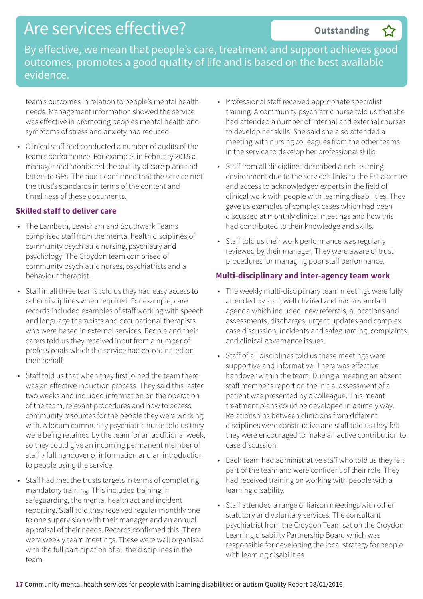By effective, we mean that people's care, treatment and support achieves good outcomes, promotes a good quality of life and is based on the best available evidence.

team's outcomes in relation to people's mental health needs. Management information showed the service was effective in promoting peoples mental health and symptoms of stress and anxiety had reduced.

• Clinical staff had conducted a number of audits of the team's performance. For example, in February 2015 a manager had monitored the quality of care plans and letters to GPs. The audit confirmed that the service met the trust's standards in terms of the content and timeliness of these documents.

#### **Skilled staff to deliver care**

- The Lambeth, Lewisham and Southwark Teams comprised staff from the mental health disciplines of community psychiatric nursing, psychiatry and psychology. The Croydon team comprised of community psychiatric nurses, psychiatrists and a behaviour therapist.
- Staff in all three teams told us they had easy access to other disciplines when required. For example, care records included examples of staff working with speech and language therapists and occupational therapists who were based in external services. People and their carers told us they received input from a number of professionals which the service had co-ordinated on their behalf.
- Staff told us that when they first joined the team there was an effective induction process. They said this lasted two weeks and included information on the operation of the team, relevant procedures and how to access community resources for the people they were working with. A locum community psychiatric nurse told us they were being retained by the team for an additional week, so they could give an incoming permanent member of staff a full handover of information and an introduction to people using the service.
- Staff had met the trusts targets in terms of completing mandatory training. This included training in safeguarding, the mental health act and incident reporting. Staff told they received regular monthly one to one supervision with their manager and an annual appraisal of their needs. Records confirmed this. There were weekly team meetings. These were well organised with the full participation of all the disciplines in the team.

• Professional staff received appropriate specialist training. A community psychiatric nurse told us that she had attended a number of internal and external courses to develop her skills. She said she also attended a meeting with nursing colleagues from the other teams in the service to develop her professional skills.

**Outstanding –**

- Staff from all disciplines described a rich learning environment due to the service's links to the Estia centre and access to acknowledged experts in the field of clinical work with people with learning disabilities. They gave us examples of complex cases which had been discussed at monthly clinical meetings and how this had contributed to their knowledge and skills.
- Staff told us their work performance was regularly reviewed by their manager. They were aware of trust procedures for managing poor staff performance.

#### **Multi-disciplinary and inter-agency team work**

- The weekly multi-disciplinary team meetings were fully attended by staff, well chaired and had a standard agenda which included: new referrals, allocations and assessments, discharges, urgent updates and complex case discussion, incidents and safeguarding, complaints and clinical governance issues.
- Staff of all disciplines told us these meetings were supportive and informative. There was effective handover within the team. During a meeting an absent staff member's report on the initial assessment of a patient was presented by a colleague. This meant treatment plans could be developed in a timely way. Relationships between clinicians from different disciplines were constructive and staff told us they felt they were encouraged to make an active contribution to case discussion.
- Each team had administrative staff who told us they felt part of the team and were confident of their role. They had received training on working with people with a learning disability.
- Staff attended a range of liaison meetings with other statutory and voluntary services. The consultant psychiatrist from the Croydon Team sat on the Croydon Learning disability Partnership Board which was responsible for developing the local strategy for people with learning disabilities.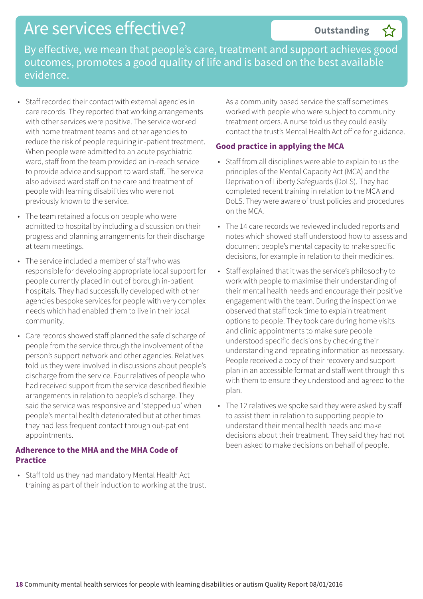**Outstanding –**

By effective, we mean that people's care, treatment and support achieves good outcomes, promotes a good quality of life and is based on the best available evidence.

- Staff recorded their contact with external agencies in care records. They reported that working arrangements with other services were positive. The service worked with home treatment teams and other agencies to reduce the risk of people requiring in-patient treatment. When people were admitted to an acute psychiatric ward, staff from the team provided an in-reach service to provide advice and support to ward staff. The service also advised ward staff on the care and treatment of people with learning disabilities who were not previously known to the service.
- The team retained a focus on people who were admitted to hospital by including a discussion on their progress and planning arrangements for their discharge at team meetings.
- The service included a member of staff who was responsible for developing appropriate local support for people currently placed in out of borough in-patient hospitals. They had successfully developed with other agencies bespoke services for people with very complex needs which had enabled them to live in their local community.
- Care records showed staff planned the safe discharge of people from the service through the involvement of the person's support network and other agencies. Relatives told us they were involved in discussions about people's discharge from the service. Four relatives of people who had received support from the service described flexible arrangements in relation to people's discharge. They said the service was responsive and 'stepped up' when people's mental health deteriorated but at other times they had less frequent contact through out-patient appointments.

#### **Adherence to the MHA and the MHA Code of Practice**

• Staff told us they had mandatory Mental Health Act training as part of their induction to working at the trust. As a community based service the staff sometimes worked with people who were subject to community treatment orders. A nurse told us they could easily contact the trust's Mental Health Act office for guidance.

### **Good practice in applying the MCA**

- Staff from all disciplines were able to explain to us the principles of the Mental Capacity Act (MCA) and the Deprivation of Liberty Safeguards (DoLS). They had completed recent training in relation to the MCA and DoLS. They were aware of trust policies and procedures on the MCA.
- The 14 care records we reviewed included reports and notes which showed staff understood how to assess and document people's mental capacity to make specific decisions, for example in relation to their medicines.
- Staff explained that it was the service's philosophy to work with people to maximise their understanding of their mental health needs and encourage their positive engagement with the team. During the inspection we observed that staff took time to explain treatment options to people. They took care during home visits and clinic appointments to make sure people understood specific decisions by checking their understanding and repeating information as necessary. People received a copy of their recovery and support plan in an accessible format and staff went through this with them to ensure they understood and agreed to the plan.
- The 12 relatives we spoke said they were asked by staff to assist them in relation to supporting people to understand their mental health needs and make decisions about their treatment. They said they had not been asked to make decisions on behalf of people.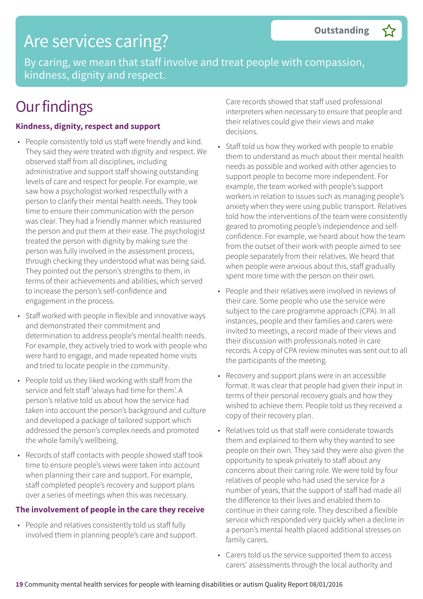## Are services caring?

By caring, we mean that staff involve and treat people with compassion, kindness, dignity and respect.

## **Our findings**

#### **Kindness, dignity, respect and support**

- People consistently told us staff were friendly and kind. They said they were treated with dignity and respect. We observed staff from all disciplines, including administrative and support staff showing outstanding levels of care and respect for people. For example, we saw how a psychologist worked respectfully with a person to clarify their mental health needs. They took time to ensure their communication with the person was clear. They had a friendly manner which reassured the person and put them at their ease. The psychologist treated the person with dignity by making sure the person was fully involved in the assessment process, through checking they understood what was being said. They pointed out the person's strengths to them, in terms of their achievements and abilities, which served to increase the person's self-confidence and engagement in the process.
- Staff worked with people in flexible and innovative ways and demonstrated their commitment and determination to address people's mental health needs. For example, they actively tried to work with people who were hard to engage, and made repeated home visits and tried to locate people in the community.
- People told us they liked working with staff from the service and felt staff 'always had time for them'. A person's relative told us about how the service had taken into account the person's background and culture and developed a package of tailored support which addressed the person's complex needs and promoted the whole family's wellbeing.
- Records of staff contacts with people showed staff took time to ensure people's views were taken into account when planning their care and support. For example, staff completed people's recovery and support plans over a series of meetings when this was necessary.

### **The involvement of people in the care they receive**

• People and relatives consistently told us staff fully involved them in planning people's care and support. Care records showed that staff used professional interpreters when necessary to ensure that people and their relatives could give their views and make decisions.

- Staff told us how they worked with people to enable them to understand as much about their mental health needs as possible and worked with other agencies to support people to become more independent. For example, the team worked with people's support workers in relation to issues such as managing people's anxiety when they were using public transport. Relatives told how the interventions of the team were consistently geared to promoting people's independence and selfconfidence. For example, we heard about how the team from the outset of their work with people aimed to see people separately from their relatives. We heard that when people were anxious about this, staff gradually spent more time with the person on their own.
- People and their relatives were involved in reviews of their care. Some people who use the service were subject to the care programme approach (CPA). In all instances, people and their families and carers were invited to meetings, a record made of their views and their discussion with professionals noted in care records. A copy of CPA review minutes was sent out to all the participants of the meeting.
- Recovery and support plans were in an accessible format. It was clear that people had given their input in terms of their personal recovery goals and how they wished to achieve them. People told us they received a copy of their recovery plan.
- Relatives told us that staff were considerate towards them and explained to them why they wanted to see people on their own. They said they were also given the opportunity to speak privately to staff about any concerns about their caring role. We were told by four relatives of people who had used the service for a number of years, that the support of staff had made all the difference to their lives and enabled them to continue in their caring role. They described a flexible service which responded very quickly when a decline in a person's mental health placed additional stresses on family carers.
- Carers told us the service supported them to access carers' assessments through the local authority and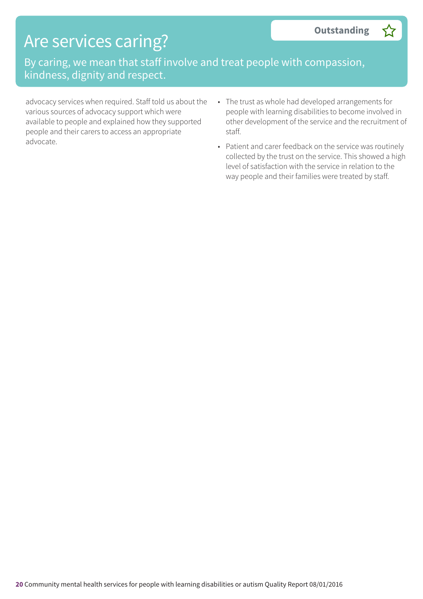## Are services caring?

By caring, we mean that staff involve and treat people with compassion, kindness, dignity and respect.

advocacy services when required. Staff told us about the various sources of advocacy support which were available to people and explained how they supported people and their carers to access an appropriate advocate.

- The trust as whole had developed arrangements for people with learning disabilities to become involved in other development of the service and the recruitment of staff.
- Patient and carer feedback on the service was routinely collected by the trust on the service. This showed a high level of satisfaction with the service in relation to the way people and their families were treated by staff.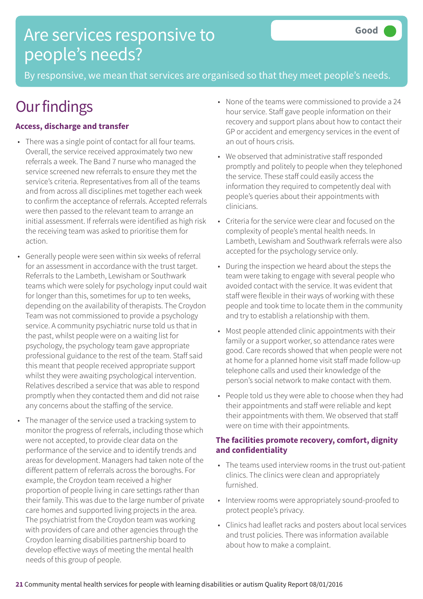## Are services responsive to people's needs?

By responsive, we mean that services are organised so that they meet people's needs.

# **Our findings**

### **Access, discharge and transfer**

- There was a single point of contact for all four teams. Overall, the service received approximately two new referrals a week. The Band 7 nurse who managed the service screened new referrals to ensure they met the service's criteria. Representatives from all of the teams and from across all disciplines met together each week to confirm the acceptance of referrals. Accepted referrals were then passed to the relevant team to arrange an initial assessment. If referrals were identified as high risk the receiving team was asked to prioritise them for action.
- Generally people were seen within six weeks of referral for an assessment in accordance with the trust target. Referrals to the Lambeth, Lewisham or Southwark teams which were solely for psychology input could wait for longer than this, sometimes for up to ten weeks, depending on the availability of therapists. The Croydon Team was not commissioned to provide a psychology service. A community psychiatric nurse told us that in the past, whilst people were on a waiting list for psychology, the psychology team gave appropriate professional guidance to the rest of the team. Staff said this meant that people received appropriate support whilst they were awaiting psychological intervention. Relatives described a service that was able to respond promptly when they contacted them and did not raise any concerns about the staffing of the service.
- The manager of the service used a tracking system to monitor the progress of referrals, including those which were not accepted, to provide clear data on the performance of the service and to identify trends and areas for development. Managers had taken note of the different pattern of referrals across the boroughs. For example, the Croydon team received a higher proportion of people living in care settings rather than their family. This was due to the large number of private care homes and supported living projects in the area. The psychiatrist from the Croydon team was working with providers of care and other agencies through the Croydon learning disabilities partnership board to develop effective ways of meeting the mental health needs of this group of people.
- None of the teams were commissioned to provide a 24 hour service. Staff gave people information on their recovery and support plans about how to contact their GP or accident and emergency services in the event of an out of hours crisis.
- We observed that administrative staff responded promptly and politely to people when they telephoned the service. These staff could easily access the information they required to competently deal with people's queries about their appointments with clinicians.
- Criteria for the service were clear and focused on the complexity of people's mental health needs. In Lambeth, Lewisham and Southwark referrals were also accepted for the psychology service only.
- During the inspection we heard about the steps the team were taking to engage with several people who avoided contact with the service. It was evident that staff were flexible in their ways of working with these people and took time to locate them in the community and try to establish a relationship with them.
- Most people attended clinic appointments with their family or a support worker, so attendance rates were good. Care records showed that when people were not at home for a planned home visit staff made follow-up telephone calls and used their knowledge of the person's social network to make contact with them.
- People told us they were able to choose when they had their appointments and staff were reliable and kept their appointments with them. We observed that staff were on time with their appointments.

### **The facilities promote recovery, comfort, dignity and confidentiality**

- The teams used interview rooms in the trust out-patient clinics. The clinics were clean and appropriately furnished.
- Interview rooms were appropriately sound-proofed to protect people's privacy.
- Clinics had leaflet racks and posters about local services and trust policies. There was information available about how to make a complaint.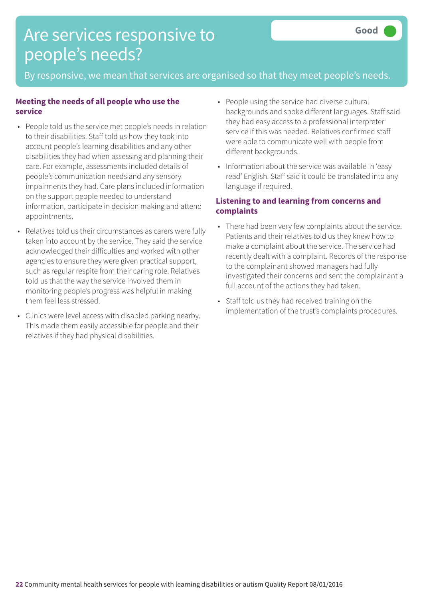## Are services responsive to people's needs?

By responsive, we mean that services are organised so that they meet people's needs.

#### **Meeting the needs of all people who use the service**

- People told us the service met people's needs in relation to their disabilities. Staff told us how they took into account people's learning disabilities and any other disabilities they had when assessing and planning their care. For example, assessments included details of people's communication needs and any sensory impairments they had. Care plans included information on the support people needed to understand information, participate in decision making and attend appointments.
- Relatives told us their circumstances as carers were fully taken into account by the service. They said the service acknowledged their difficulties and worked with other agencies to ensure they were given practical support, such as regular respite from their caring role. Relatives told us that the way the service involved them in monitoring people's progress was helpful in making them feel less stressed.
- Clinics were level access with disabled parking nearby. This made them easily accessible for people and their relatives if they had physical disabilities.
- People using the service had diverse cultural backgrounds and spoke different languages. Staff said they had easy access to a professional interpreter service if this was needed. Relatives confirmed staff were able to communicate well with people from different backgrounds.
- Information about the service was available in 'easy read' English. Staff said it could be translated into any language if required.

### **Listening to and learning from concerns and complaints**

- There had been very few complaints about the service. Patients and their relatives told us they knew how to make a complaint about the service. The service had recently dealt with a complaint. Records of the response to the complainant showed managers had fully investigated their concerns and sent the complainant a full account of the actions they had taken.
- Staff told us they had received training on the implementation of the trust's complaints procedures.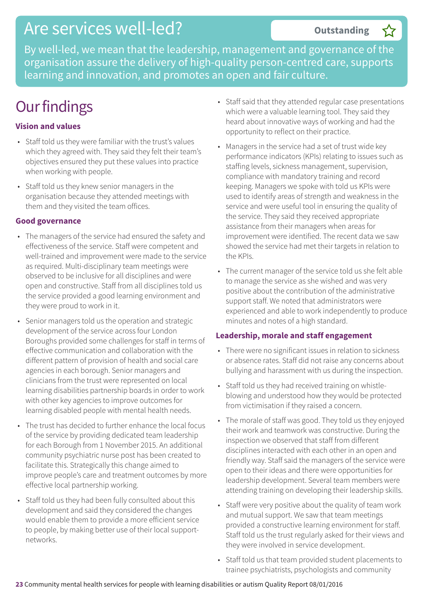## Are services well-led?

**Outstanding –**

By well-led, we mean that the leadership, management and governance of the organisation assure the delivery of high-quality person-centred care, supports learning and innovation, and promotes an open and fair culture.

# **Our findings**

### **Vision and values**

- Staff told us they were familiar with the trust's values which they agreed with. They said they felt their team's objectives ensured they put these values into practice when working with people.
- Staff told us they knew senior managers in the organisation because they attended meetings with them and they visited the team offices.

### **Good governance**

- The managers of the service had ensured the safety and effectiveness of the service. Staff were competent and well-trained and improvement were made to the service as required. Multi-disciplinary team meetings were observed to be inclusive for all disciplines and were open and constructive. Staff from all disciplines told us the service provided a good learning environment and they were proud to work in it.
- Senior managers told us the operation and strategic development of the service across four London Boroughs provided some challenges for staff in terms of effective communication and collaboration with the different pattern of provision of health and social care agencies in each borough. Senior managers and clinicians from the trust were represented on local learning disabilities partnership boards in order to work with other key agencies to improve outcomes for learning disabled people with mental health needs.
- The trust has decided to further enhance the local focus of the service by providing dedicated team leadership for each Borough from 1 November 2015. An additional community psychiatric nurse post has been created to facilitate this. Strategically this change aimed to improve people's care and treatment outcomes by more effective local partnership working.
- Staff told us they had been fully consulted about this development and said they considered the changes would enable them to provide a more efficient service to people, by making better use of their local supportnetworks.
- Staff said that they attended regular case presentations which were a valuable learning tool. They said they heard about innovative ways of working and had the opportunity to reflect on their practice.
- Managers in the service had a set of trust wide key performance indicators (KPIs) relating to issues such as staffing levels, sickness management, supervision, compliance with mandatory training and record keeping. Managers we spoke with told us KPIs were used to identify areas of strength and weakness in the service and were useful tool in ensuring the quality of the service. They said they received appropriate assistance from their managers when areas for improvement were identified. The recent data we saw showed the service had met their targets in relation to the KPIs.
- The current manager of the service told us she felt able to manage the service as she wished and was very positive about the contribution of the administrative support staff. We noted that administrators were experienced and able to work independently to produce minutes and notes of a high standard.

### **Leadership, morale and staff engagement**

- There were no significant issues in relation to sickness or absence rates. Staff did not raise any concerns about bullying and harassment with us during the inspection.
- Staff told us they had received training on whistleblowing and understood how they would be protected from victimisation if they raised a concern.
- The morale of staff was good. They told us they enjoyed their work and teamwork was constructive. During the inspection we observed that staff from different disciplines interacted with each other in an open and friendly way. Staff said the managers of the service were open to their ideas and there were opportunities for leadership development. Several team members were attending training on developing their leadership skills.
- Staff were very positive about the quality of team work and mutual support. We saw that team meetings provided a constructive learning environment for staff. Staff told us the trust regularly asked for their views and they were involved in service development.
- Staff told us that team provided student placements to trainee psychiatrists, psychologists and community